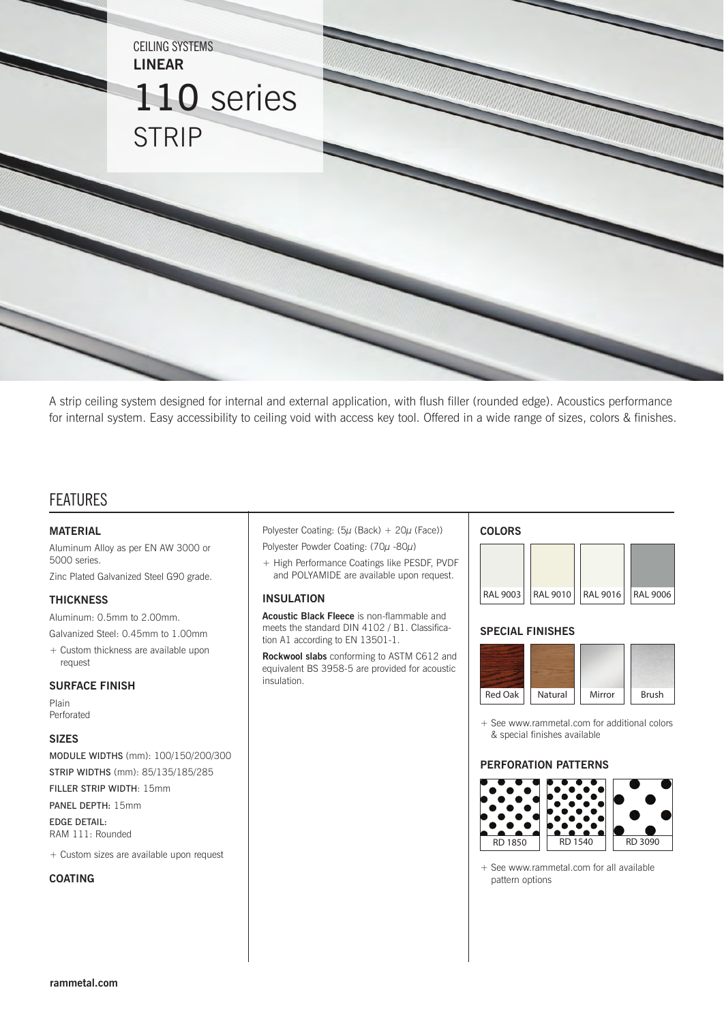

A strip ceiling system designed for internal and external application, with flush filler (rounded edge). Acoustics performance for internal system. Easy accessibility to ceiling void with access key tool. Offered in a wide range of sizes, colors & finishes.

# FEATURES

#### **MATERIAL**

Aluminum Alloy as per EN AW 3000 or 5000 series.

Zinc Plated Galvanized Steel G90 grade.

#### **THICKNESS**

Aluminum: 0.5mm to 2.00mm.

- Galvanized Steel: 0.45mm to 1.00mm
- + Custom thickness are available upon request

#### **SURFACE FINISH**

Plain Perforated

#### **SIZES**

MODULE WIDTHS (mm): 100/150/200/300 STRIP WIDTHS (mm): 85/135/185/285

FILLER STRIP WIDTH: 15mm

PANEL DEPTH: 15mm

EDGE DETAIL: RAM 111: Rounded

+ Custom sizes are available upon request

## **COATING**

Polyester Coating:  $(5\mu$  (Back) +  $20\mu$  (Face))

- Polyester Powder Coating: (70µ -80µ)
- + High Performance Coatings like PESDF, PVDF and POLYAMIDE are available upon request.

#### **INSULATION**

**Acoustic Black Fleece** is non-flammable and meets the standard DIN 4102 / B1. Classification A1 according to EN 13501-1.

**Rockwool slabs** conforming to ASTM C612 and equivalent BS 3958-5 are provided for acoustic insulation.

### **COLORS**



#### **SPECIAL FINISHES**



+ See www.rammetal.com for additional colors & special finishes available

### **PERFORATION PATTERNS**



+ See www.rammetal.com for all available pattern options